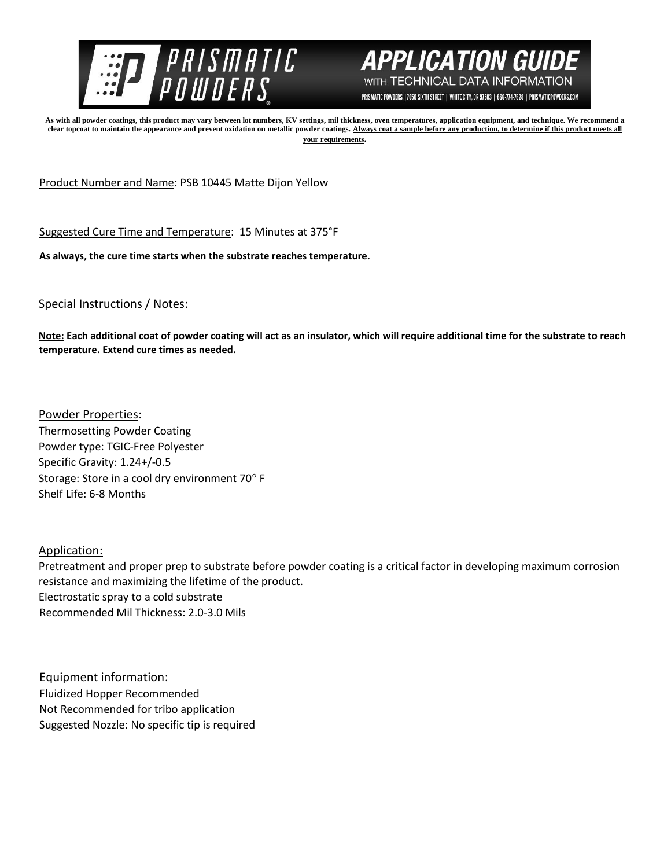



PRISMATIC POWDERS. | 7050 SIXTH STREET | WHITE CITY, OR 97503 | 866-774-7628 | PRISMATICPOWDERS.COM

**As with all powder coatings, this product may vary between lot numbers, KV settings, mil thickness, oven temperatures, application equipment, and technique. We recommend a clear topcoat to maintain the appearance and prevent oxidation on metallic powder coatings. Always coat a sample before any production, to determine if this product meets all your requirements.** 

Product Number and Name: PSB 10445 Matte Dijon Yellow

Suggested Cure Time and Temperature: 15 Minutes at 375°F

**As always, the cure time starts when the substrate reaches temperature.**

## Special Instructions / Notes:

**Note: Each additional coat of powder coating will act as an insulator, which will require additional time for the substrate to reach temperature. Extend cure times as needed.** 

Powder Properties: Thermosetting Powder Coating Powder type: TGIC-Free Polyester Specific Gravity: 1.24+/-0.5 Storage: Store in a cool dry environment 70° F Shelf Life: 6-8 Months

## Application:

Pretreatment and proper prep to substrate before powder coating is a critical factor in developing maximum corrosion resistance and maximizing the lifetime of the product. Electrostatic spray to a cold substrate Recommended Mil Thickness: 2.0-3.0 Mils

Equipment information: Fluidized Hopper Recommended Not Recommended for tribo application Suggested Nozzle: No specific tip is required